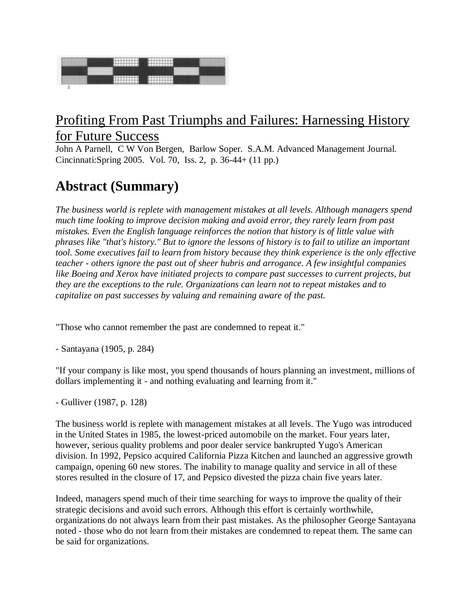

## Profiting From Past Triumphs and Failures: Harnessing History for Future Success

John A Parnell, C W Von Bergen, Barlow Soper. S.A.M. Advanced Management Journal. Cincinnati:Spring 2005. Vol. 70, Iss. 2, p. 36-44+ (11 pp.)

# **Abstract (Summary)**

*The business world is replete with management mistakes at all levels. Although managers spend much time looking to improve decision making and avoid error, they rarely learn from past mistakes. Even the English language reinforces the notion that history is of little value with phrases like "that's history." But to ignore the lessons of history is to fail to utilize an important tool. Some executives fail to learn from history because they think experience is the only effective teacher - others ignore the past out of sheer hubris and arrogance. A few insightful companies like Boeing and Xerox have initiated projects to compare past successes to current projects, but they are the exceptions to the rule. Organizations can learn not to repeat mistakes and to capitalize on past successes by valuing and remaining aware of the past.*

"Those who cannot remember the past are condemned to repeat it."

- Santayana (1905, p. 284)

"If your company is like most, you spend thousands of hours planning an investment, millions of dollars implementing it - and nothing evaluating and learning from it."

- Gulliver (1987, p. 128)

The business world is replete with management mistakes at all levels. The Yugo was introduced in the United States in 1985, the lowest-priced automobile on the market. Four years later, however, serious quality problems and poor dealer service bankrupted Yugo's American division. In 1992, Pepsico acquired California Pizza Kitchen and launched an aggressive growth campaign, opening 60 new stores. The inability to manage quality and service in all of these stores resulted in the closure of 17, and Pepsico divested the pizza chain five years later.

Indeed, managers spend much of their time searching for ways to improve the quality of their strategic decisions and avoid such errors. Although this effort is certainly worthwhile, organizations do not always learn from their past mistakes. As the philosopher George Santayana noted - those who do not learn from their mistakes are condemned to repeat them. The same can be said for organizations.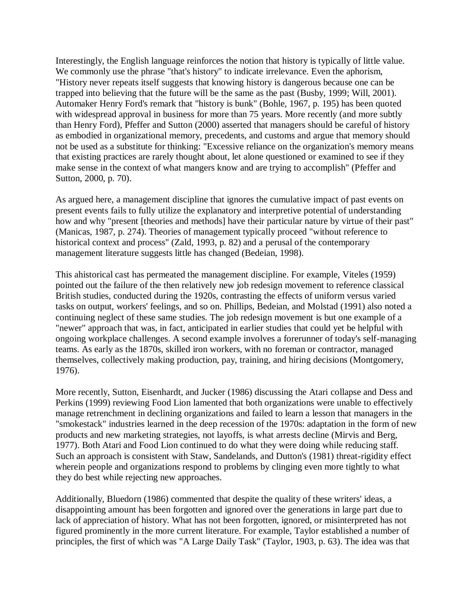Interestingly, the English language reinforces the notion that history is typically of little value. We commonly use the phrase "that's history" to indicate irrelevance. Even the aphorism, "History never repeats itself suggests that knowing history is dangerous because one can be trapped into believing that the future will be the same as the past (Busby, 1999; Will, 2001). Automaker Henry Ford's remark that "history is bunk" (Bohle, 1967, p. 195) has been quoted with widespread approval in business for more than 75 years. More recently (and more subtly than Henry Ford), Pfeffer and Sutton (2000) asserted that managers should be careful of history as embodied in organizational memory, precedents, and customs and argue that memory should not be used as a substitute for thinking: "Excessive reliance on the organization's memory means that existing practices are rarely thought about, let alone questioned or examined to see if they make sense in the context of what mangers know and are trying to accomplish" (Pfeffer and Sutton, 2000, p. 70).

As argued here, a management discipline that ignores the cumulative impact of past events on present events fails to fully utilize the explanatory and interpretive potential of understanding how and why "present [theories and methods] have their particular nature by virtue of their past" (Manicas, 1987, p. 274). Theories of management typically proceed "without reference to historical context and process" (Zald, 1993, p. 82) and a perusal of the contemporary management literature suggests little has changed (Bedeian, 1998).

This ahistorical cast has permeated the management discipline. For example, Viteles (1959) pointed out the failure of the then relatively new job redesign movement to reference classical British studies, conducted during the 1920s, contrasting the effects of uniform versus varied tasks on output, workers' feelings, and so on. Phillips, Bedeian, and Molstad (1991) also noted a continuing neglect of these same studies. The job redesign movement is but one example of a "newer" approach that was, in fact, anticipated in earlier studies that could yet be helpful with ongoing workplace challenges. A second example involves a forerunner of today's self-managing teams. As early as the 1870s, skilled iron workers, with no foreman or contractor, managed themselves, collectively making production, pay, training, and hiring decisions (Montgomery, 1976).

More recently, Sutton, Eisenhardt, and Jucker (1986) discussing the Atari collapse and Dess and Perkins (1999) reviewing Food Lion lamented that both organizations were unable to effectively manage retrenchment in declining organizations and failed to learn a lesson that managers in the "smokestack" industries learned in the deep recession of the 1970s: adaptation in the form of new products and new marketing strategies, not layoffs, is what arrests decline (Mirvis and Berg, 1977). Both Atari and Food Lion continued to do what they were doing while reducing staff. Such an approach is consistent with Staw, Sandelands, and Dutton's (1981) threat-rigidity effect wherein people and organizations respond to problems by clinging even more tightly to what they do best while rejecting new approaches.

Additionally, Bluedorn (1986) commented that despite the quality of these writers' ideas, a disappointing amount has been forgotten and ignored over the generations in large part due to lack of appreciation of history. What has not been forgotten, ignored, or misinterpreted has not figured prominently in the more current literature. For example, Taylor established a number of principles, the first of which was "A Large Daily Task" (Taylor, 1903, p. 63). The idea was that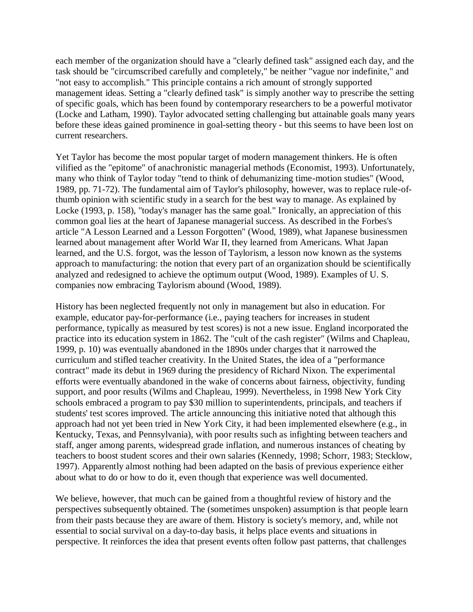each member of the organization should have a "clearly defined task" assigned each day, and the task should be "circumscribed carefully and completely," be neither "vague nor indefinite," and "not easy to accomplish." This principle contains a rich amount of strongly supported management ideas. Setting a "clearly defined task" is simply another way to prescribe the setting of specific goals, which has been found by contemporary researchers to be a powerful motivator (Locke and Latham, 1990). Taylor advocated setting challenging but attainable goals many years before these ideas gained prominence in goal-setting theory - but this seems to have been lost on current researchers.

Yet Taylor has become the most popular target of modern management thinkers. He is often vilified as the "epitome" of anachronistic managerial methods (Economist, 1993). Unfortunately, many who think of Taylor today "tend to think of dehumanizing time-motion studies" (Wood, 1989, pp. 71-72). The fundamental aim of Taylor's philosophy, however, was to replace rule-ofthumb opinion with scientific study in a search for the best way to manage. As explained by Locke (1993, p. 158), "today's manager has the same goal." Ironically, an appreciation of this common goal lies at the heart of Japanese managerial success. As described in the Forbes's article "A Lesson Learned and a Lesson Forgotten" (Wood, 1989), what Japanese businessmen learned about management after World War II, they learned from Americans. What Japan learned, and the U.S. forgot, was the lesson of Taylorism, a lesson now known as the systems approach to manufacturing: the notion that every part of an organization should be scientifically analyzed and redesigned to achieve the optimum output (Wood, 1989). Examples of U. S. companies now embracing Taylorism abound (Wood, 1989).

History has been neglected frequently not only in management but also in education. For example, educator pay-for-performance (i.e., paying teachers for increases in student performance, typically as measured by test scores) is not a new issue. England incorporated the practice into its education system in 1862. The "cult of the cash register" (Wilms and Chapleau, 1999, p. 10) was eventually abandoned in the 1890s under charges that it narrowed the curriculum and stifled teacher creativity. In the United States, the idea of a "performance contract" made its debut in 1969 during the presidency of Richard Nixon. The experimental efforts were eventually abandoned in the wake of concerns about fairness, objectivity, funding support, and poor results (Wilms and Chapleau, 1999). Nevertheless, in 1998 New York City schools embraced a program to pay \$30 million to superintendents, principals, and teachers if students' test scores improved. The article announcing this initiative noted that although this approach had not yet been tried in New York City, it had been implemented elsewhere (e.g., in Kentucky, Texas, and Pennsylvania), with poor results such as infighting between teachers and staff, anger among parents, widespread grade inflation, and numerous instances of cheating by teachers to boost student scores and their own salaries (Kennedy, 1998; Schorr, 1983; Stecklow, 1997). Apparently almost nothing had been adapted on the basis of previous experience either about what to do or how to do it, even though that experience was well documented.

We believe, however, that much can be gained from a thoughtful review of history and the perspectives subsequently obtained. The (sometimes unspoken) assumption is that people learn from their pasts because they are aware of them. History is society's memory, and, while not essential to social survival on a day-to-day basis, it helps place events and situations in perspective. It reinforces the idea that present events often follow past patterns, that challenges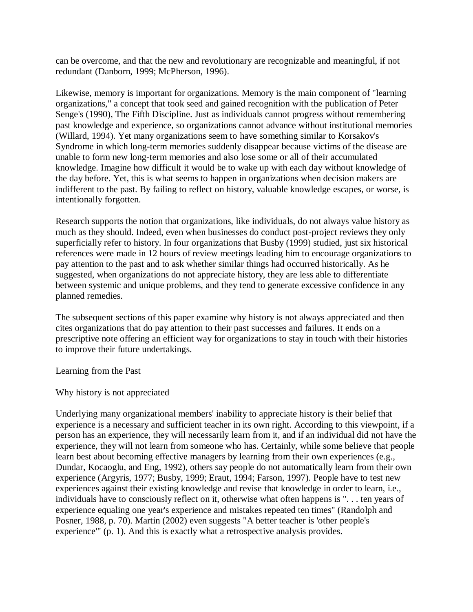can be overcome, and that the new and revolutionary are recognizable and meaningful, if not redundant (Danborn, 1999; McPherson, 1996).

Likewise, memory is important for organizations. Memory is the main component of "learning organizations," a concept that took seed and gained recognition with the publication of Peter Senge's (1990), The Fifth Discipline. Just as individuals cannot progress without remembering past knowledge and experience, so organizations cannot advance without institutional memories (Willard, 1994). Yet many organizations seem to have something similar to Korsakov's Syndrome in which long-term memories suddenly disappear because victims of the disease are unable to form new long-term memories and also lose some or all of their accumulated knowledge. Imagine how difficult it would be to wake up with each day without knowledge of the day before. Yet, this is what seems to happen in organizations when decision makers are indifferent to the past. By failing to reflect on history, valuable knowledge escapes, or worse, is intentionally forgotten.

Research supports the notion that organizations, like individuals, do not always value history as much as they should. Indeed, even when businesses do conduct post-project reviews they only superficially refer to history. In four organizations that Busby (1999) studied, just six historical references were made in 12 hours of review meetings leading him to encourage organizations to pay attention to the past and to ask whether similar things had occurred historically. As he suggested, when organizations do not appreciate history, they are less able to differentiate between systemic and unique problems, and they tend to generate excessive confidence in any planned remedies.

The subsequent sections of this paper examine why history is not always appreciated and then cites organizations that do pay attention to their past successes and failures. It ends on a prescriptive note offering an efficient way for organizations to stay in touch with their histories to improve their future undertakings.

Learning from the Past

Why history is not appreciated

Underlying many organizational members' inability to appreciate history is their belief that experience is a necessary and sufficient teacher in its own right. According to this viewpoint, if a person has an experience, they will necessarily learn from it, and if an individual did not have the experience, they will not learn from someone who has. Certainly, while some believe that people learn best about becoming effective managers by learning from their own experiences (e.g., Dundar, Kocaoglu, and Eng, 1992), others say people do not automatically learn from their own experience (Argyris, 1977; Busby, 1999; Eraut, 1994; Farson, 1997). People have to test new experiences against their existing knowledge and revise that knowledge in order to learn, i.e., individuals have to consciously reflect on it, otherwise what often happens is ". . . ten years of experience equaling one year's experience and mistakes repeated ten times" (Randolph and Posner, 1988, p. 70). Martin (2002) even suggests "A better teacher is 'other people's experience'" (p. 1). And this is exactly what a retrospective analysis provides.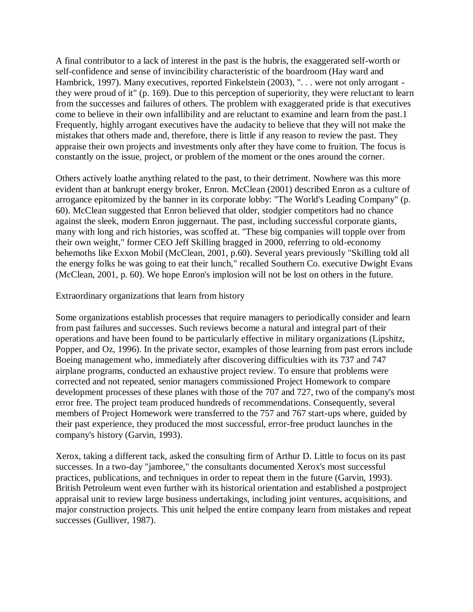A final contributor to a lack of interest in the past is the hubris, the exaggerated self-worth or self-confidence and sense of invincibility characteristic of the boardroom (Hay ward and Hambrick, 1997). Many executives, reported Finkelstein (2003), ". . . were not only arrogant they were proud of it" (p. 169). Due to this perception of superiority, they were reluctant to learn from the successes and failures of others. The problem with exaggerated pride is that executives come to believe in their own infallibility and are reluctant to examine and learn from the past.1 Frequently, highly arrogant executives have the audacity to believe that they will not make the mistakes that others made and, therefore, there is little if any reason to review the past. They appraise their own projects and investments only after they have come to fruition. The focus is constantly on the issue, project, or problem of the moment or the ones around the corner.

Others actively loathe anything related to the past, to their detriment. Nowhere was this more evident than at bankrupt energy broker, Enron. McClean (2001) described Enron as a culture of arrogance epitomized by the banner in its corporate lobby: "The World's Leading Company" (p. 60). McClean suggested that Enron believed that older, stodgier competitors had no chance against the sleek, modern Enron juggernaut. The past, including successful corporate giants, many with long and rich histories, was scoffed at. "These big companies will topple over from their own weight," former CEO Jeff Skilling bragged in 2000, referring to old-economy behemoths like Exxon Mobil (McClean, 2001, p.60). Several years previously "Skilling told all the energy folks he was going to eat their lunch," recalled Southern Co. executive Dwight Evans (McClean, 2001, p. 60). We hope Enron's implosion will not be lost on others in the future.

#### Extraordinary organizations that learn from history

Some organizations establish processes that require managers to periodically consider and learn from past failures and successes. Such reviews become a natural and integral part of their operations and have been found to be particularly effective in military organizations (Lipshitz, Popper, and Oz, 1996). In the private sector, examples of those learning from past errors include Boeing management who, immediately after discovering difficulties with its 737 and 747 airplane programs, conducted an exhaustive project review. To ensure that problems were corrected and not repeated, senior managers commissioned Project Homework to compare development processes of these planes with those of the 707 and 727, two of the company's most error free. The project team produced hundreds of recommendations. Consequently, several members of Project Homework were transferred to the 757 and 767 start-ups where, guided by their past experience, they produced the most successful, error-free product launches in the company's history (Garvin, 1993).

Xerox, taking a different tack, asked the consulting firm of Arthur D. Little to focus on its past successes. In a two-day "jamboree," the consultants documented Xerox's most successful practices, publications, and techniques in order to repeat them in the future (Garvin, 1993). British Petroleum went even further with its historical orientation and established a postproject appraisal unit to review large business undertakings, including joint ventures, acquisitions, and major construction projects. This unit helped the entire company learn from mistakes and repeat successes (Gulliver, 1987).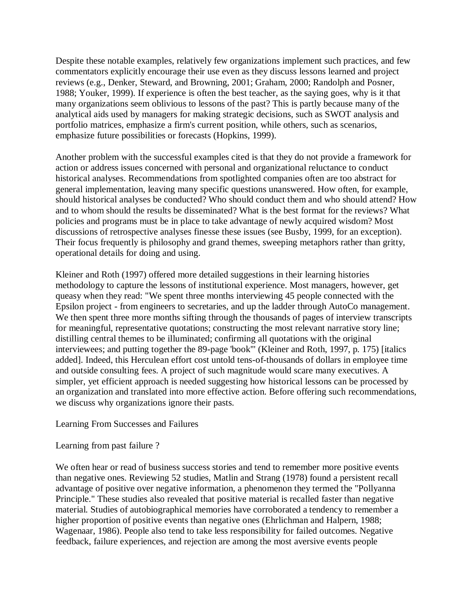Despite these notable examples, relatively few organizations implement such practices, and few commentators explicitly encourage their use even as they discuss lessons learned and project reviews (e.g., Denker, Steward, and Browning, 2001; Graham, 2000; Randolph and Posner, 1988; Youker, 1999). If experience is often the best teacher, as the saying goes, why is it that many organizations seem oblivious to lessons of the past? This is partly because many of the analytical aids used by managers for making strategic decisions, such as SWOT analysis and portfolio matrices, emphasize a firm's current position, while others, such as scenarios, emphasize future possibilities or forecasts (Hopkins, 1999).

Another problem with the successful examples cited is that they do not provide a framework for action or address issues concerned with personal and organizational reluctance to conduct historical analyses. Recommendations from spotlighted companies often are too abstract for general implementation, leaving many specific questions unanswered. How often, for example, should historical analyses be conducted? Who should conduct them and who should attend? How and to whom should the results be disseminated? What is the best format for the reviews? What policies and programs must be in place to take advantage of newly acquired wisdom? Most discussions of retrospective analyses finesse these issues (see Busby, 1999, for an exception). Their focus frequently is philosophy and grand themes, sweeping metaphors rather than gritty, operational details for doing and using.

Kleiner and Roth (1997) offered more detailed suggestions in their learning histories methodology to capture the lessons of institutional experience. Most managers, however, get queasy when they read: "We spent three months interviewing 45 people connected with the Epsilon project - from engineers to secretaries, and up the ladder through AutoCo management. We then spent three more months sifting through the thousands of pages of interview transcripts for meaningful, representative quotations; constructing the most relevant narrative story line; distilling central themes to be illuminated; confirming all quotations with the original interviewees; and putting together the 89-page 'book'" (Kleiner and Roth, 1997, p. 175) [italics added]. Indeed, this Herculean effort cost untold tens-of-thousands of dollars in employee time and outside consulting fees. A project of such magnitude would scare many executives. A simpler, yet efficient approach is needed suggesting how historical lessons can be processed by an organization and translated into more effective action. Before offering such recommendations, we discuss why organizations ignore their pasts.

#### Learning From Successes and Failures

#### Learning from past failure ?

We often hear or read of business success stories and tend to remember more positive events than negative ones. Reviewing 52 studies, Matlin and Strang (1978) found a persistent recall advantage of positive over negative information, a phenomenon they termed the "Pollyanna Principle." These studies also revealed that positive material is recalled faster than negative material. Studies of autobiographical memories have corroborated a tendency to remember a higher proportion of positive events than negative ones (Ehrlichman and Halpern, 1988; Wagenaar, 1986). People also tend to take less responsibility for failed outcomes. Negative feedback, failure experiences, and rejection are among the most aversive events people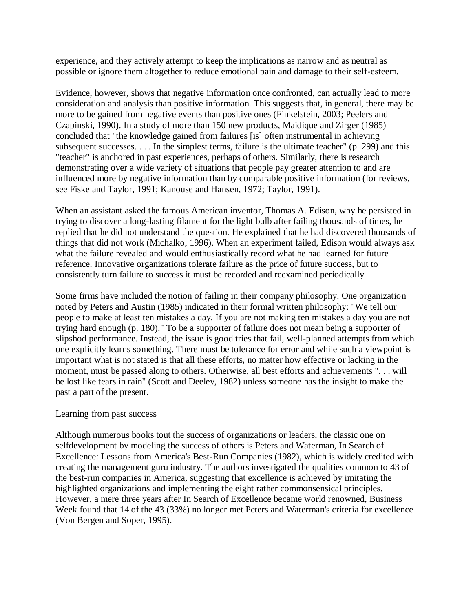experience, and they actively attempt to keep the implications as narrow and as neutral as possible or ignore them altogether to reduce emotional pain and damage to their self-esteem.

Evidence, however, shows that negative information once confronted, can actually lead to more consideration and analysis than positive information. This suggests that, in general, there may be more to be gained from negative events than positive ones (Finkelstein, 2003; Peelers and Czapinski, 1990). In a study of more than 150 new products, Maidique and Zirger (1985) concluded that "the knowledge gained from failures [is] often instrumental in achieving subsequent successes. . . . In the simplest terms, failure is the ultimate teacher" (p. 299) and this "teacher" is anchored in past experiences, perhaps of others. Similarly, there is research demonstrating over a wide variety of situations that people pay greater attention to and are influenced more by negative information than by comparable positive information (for reviews, see Fiske and Taylor, 1991; Kanouse and Hansen, 1972; Taylor, 1991).

When an assistant asked the famous American inventor, Thomas A. Edison, why he persisted in trying to discover a long-lasting filament for the light bulb after failing thousands of times, he replied that he did not understand the question. He explained that he had discovered thousands of things that did not work (Michalko, 1996). When an experiment failed, Edison would always ask what the failure revealed and would enthusiastically record what he had learned for future reference. Innovative organizations tolerate failure as the price of future success, but to consistently turn failure to success it must be recorded and reexamined periodically.

Some firms have included the notion of failing in their company philosophy. One organization noted by Peters and Austin (1985) indicated in their formal written philosophy: "We tell our people to make at least ten mistakes a day. If you are not making ten mistakes a day you are not trying hard enough (p. 180)." To be a supporter of failure does not mean being a supporter of slipshod performance. Instead, the issue is good tries that fail, well-planned attempts from which one explicitly learns something. There must be tolerance for error and while such a viewpoint is important what is not stated is that all these efforts, no matter how effective or lacking in the moment, must be passed along to others. Otherwise, all best efforts and achievements ". . . will be lost like tears in rain" (Scott and Deeley, 1982) unless someone has the insight to make the past a part of the present.

#### Learning from past success

Although numerous books tout the success of organizations or leaders, the classic one on selfdevelopment by modeling the success of others is Peters and Waterman, In Search of Excellence: Lessons from America's Best-Run Companies (1982), which is widely credited with creating the management guru industry. The authors investigated the qualities common to 43 of the best-run companies in America, suggesting that excellence is achieved by imitating the highlighted organizations and implementing the eight rather commonsensical principles. However, a mere three years after In Search of Excellence became world renowned, Business Week found that 14 of the 43 (33%) no longer met Peters and Waterman's criteria for excellence (Von Bergen and Soper, 1995).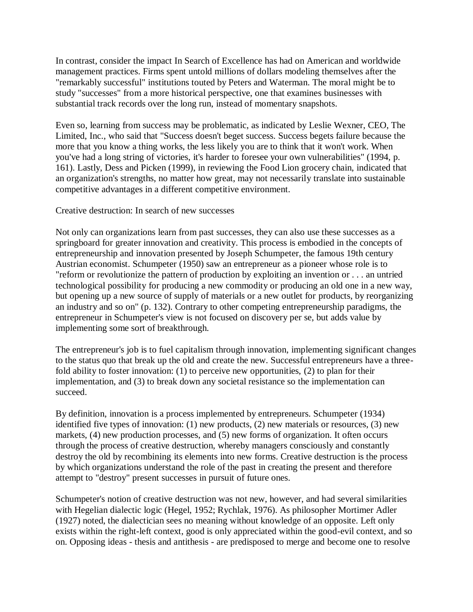In contrast, consider the impact In Search of Excellence has had on American and worldwide management practices. Firms spent untold millions of dollars modeling themselves after the "remarkably successful" institutions touted by Peters and Waterman. The moral might be to study "successes" from a more historical perspective, one that examines businesses with substantial track records over the long run, instead of momentary snapshots.

Even so, learning from success may be problematic, as indicated by Leslie Wexner, CEO, The Limited, Inc., who said that "Success doesn't beget success. Success begets failure because the more that you know a thing works, the less likely you are to think that it won't work. When you've had a long string of victories, it's harder to foresee your own vulnerabilities" (1994, p. 161). Lastly, Dess and Picken (1999), in reviewing the Food Lion grocery chain, indicated that an organization's strengths, no matter how great, may not necessarily translate into sustainable competitive advantages in a different competitive environment.

Creative destruction: In search of new successes

Not only can organizations learn from past successes, they can also use these successes as a springboard for greater innovation and creativity. This process is embodied in the concepts of entrepreneurship and innovation presented by Joseph Schumpeter, the famous 19th century Austrian economist. Schumpeter (1950) saw an entrepreneur as a pioneer whose role is to "reform or revolutionize the pattern of production by exploiting an invention or . . . an untried technological possibility for producing a new commodity or producing an old one in a new way, but opening up a new source of supply of materials or a new outlet for products, by reorganizing an industry and so on" (p. 132). Contrary to other competing entrepreneurship paradigms, the entrepreneur in Schumpeter's view is not focused on discovery per se, but adds value by implementing some sort of breakthrough.

The entrepreneur's job is to fuel capitalism through innovation, implementing significant changes to the status quo that break up the old and create the new. Successful entrepreneurs have a threefold ability to foster innovation: (1) to perceive new opportunities, (2) to plan for their implementation, and (3) to break down any societal resistance so the implementation can succeed.

By definition, innovation is a process implemented by entrepreneurs. Schumpeter (1934) identified five types of innovation: (1) new products, (2) new materials or resources, (3) new markets, (4) new production processes, and (5) new forms of organization. It often occurs through the process of creative destruction, whereby managers consciously and constantly destroy the old by recombining its elements into new forms. Creative destruction is the process by which organizations understand the role of the past in creating the present and therefore attempt to "destroy" present successes in pursuit of future ones.

Schumpeter's notion of creative destruction was not new, however, and had several similarities with Hegelian dialectic logic (Hegel, 1952; Rychlak, 1976). As philosopher Mortimer Adler (1927) noted, the dialectician sees no meaning without knowledge of an opposite. Left only exists within the right-left context, good is only appreciated within the good-evil context, and so on. Opposing ideas - thesis and antithesis - are predisposed to merge and become one to resolve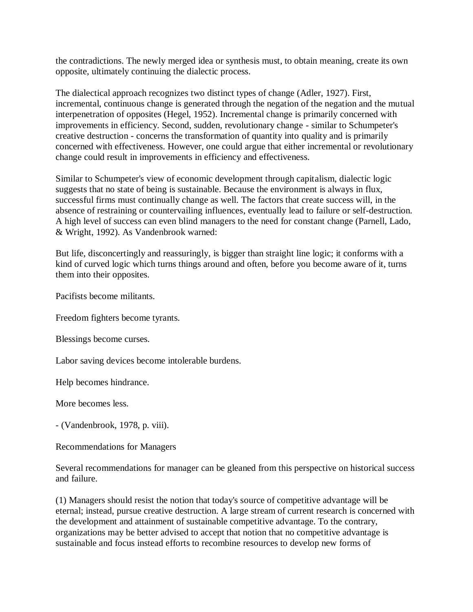the contradictions. The newly merged idea or synthesis must, to obtain meaning, create its own opposite, ultimately continuing the dialectic process.

The dialectical approach recognizes two distinct types of change (Adler, 1927). First, incremental, continuous change is generated through the negation of the negation and the mutual interpenetration of opposites (Hegel, 1952). Incremental change is primarily concerned with improvements in efficiency. Second, sudden, revolutionary change - similar to Schumpeter's creative destruction - concerns the transformation of quantity into quality and is primarily concerned with effectiveness. However, one could argue that either incremental or revolutionary change could result in improvements in efficiency and effectiveness.

Similar to Schumpeter's view of economic development through capitalism, dialectic logic suggests that no state of being is sustainable. Because the environment is always in flux, successful firms must continually change as well. The factors that create success will, in the absence of restraining or countervailing influences, eventually lead to failure or self-destruction. A high level of success can even blind managers to the need for constant change (Parnell, Lado, & Wright, 1992). As Vandenbrook warned:

But life, disconcertingly and reassuringly, is bigger than straight line logic; it conforms with a kind of curved logic which turns things around and often, before you become aware of it, turns them into their opposites.

Pacifists become militants.

Freedom fighters become tyrants.

Blessings become curses.

Labor saving devices become intolerable burdens.

Help becomes hindrance.

More becomes less.

- (Vandenbrook, 1978, p. viii).

Recommendations for Managers

Several recommendations for manager can be gleaned from this perspective on historical success and failure.

(1) Managers should resist the notion that today's source of competitive advantage will be eternal; instead, pursue creative destruction. A large stream of current research is concerned with the development and attainment of sustainable competitive advantage. To the contrary, organizations may be better advised to accept that notion that no competitive advantage is sustainable and focus instead efforts to recombine resources to develop new forms of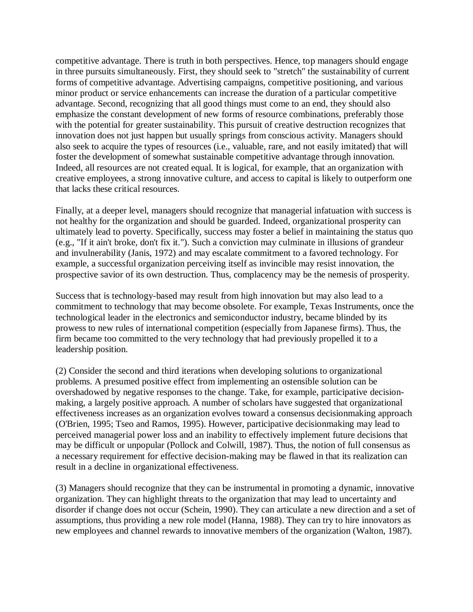competitive advantage. There is truth in both perspectives. Hence, top managers should engage in three pursuits simultaneously. First, they should seek to "stretch" the sustainability of current forms of competitive advantage. Advertising campaigns, competitive positioning, and various minor product or service enhancements can increase the duration of a particular competitive advantage. Second, recognizing that all good things must come to an end, they should also emphasize the constant development of new forms of resource combinations, preferably those with the potential for greater sustainability. This pursuit of creative destruction recognizes that innovation does not just happen but usually springs from conscious activity. Managers should also seek to acquire the types of resources (i.e., valuable, rare, and not easily imitated) that will foster the development of somewhat sustainable competitive advantage through innovation. Indeed, all resources are not created equal. It is logical, for example, that an organization with creative employees, a strong innovative culture, and access to capital is likely to outperform one that lacks these critical resources.

Finally, at a deeper level, managers should recognize that managerial infatuation with success is not healthy for the organization and should be guarded. Indeed, organizational prosperity can ultimately lead to poverty. Specifically, success may foster a belief in maintaining the status quo (e.g., "If it ain't broke, don't fix it."). Such a conviction may culminate in illusions of grandeur and invulnerability (Janis, 1972) and may escalate commitment to a favored technology. For example, a successful organization perceiving itself as invincible may resist innovation, the prospective savior of its own destruction. Thus, complacency may be the nemesis of prosperity.

Success that is technology-based may result from high innovation but may also lead to a commitment to technology that may become obsolete. For example, Texas Instruments, once the technological leader in the electronics and semiconductor industry, became blinded by its prowess to new rules of international competition (especially from Japanese firms). Thus, the firm became too committed to the very technology that had previously propelled it to a leadership position.

(2) Consider the second and third iterations when developing solutions to organizational problems. A presumed positive effect from implementing an ostensible solution can be overshadowed by negative responses to the change. Take, for example, participative decisionmaking, a largely positive approach. A number of scholars have suggested that organizational effectiveness increases as an organization evolves toward a consensus decisionmaking approach (O'Brien, 1995; Tseo and Ramos, 1995). However, participative decisionmaking may lead to perceived managerial power loss and an inability to effectively implement future decisions that may be difficult or unpopular (Pollock and Colwill, 1987). Thus, the notion of full consensus as a necessary requirement for effective decision-making may be flawed in that its realization can result in a decline in organizational effectiveness.

(3) Managers should recognize that they can be instrumental in promoting a dynamic, innovative organization. They can highlight threats to the organization that may lead to uncertainty and disorder if change does not occur (Schein, 1990). They can articulate a new direction and a set of assumptions, thus providing a new role model (Hanna, 1988). They can try to hire innovators as new employees and channel rewards to innovative members of the organization (Walton, 1987).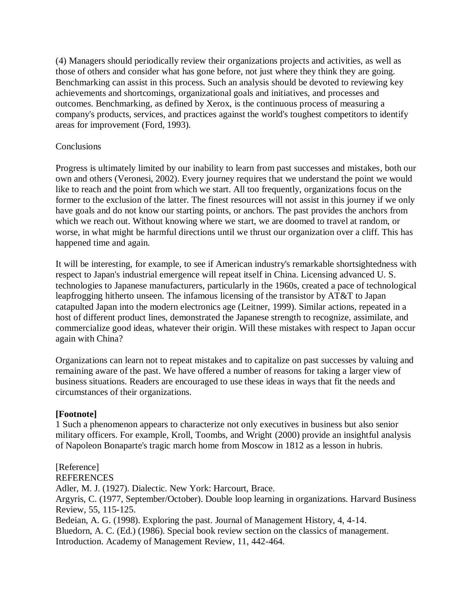(4) Managers should periodically review their organizations projects and activities, as well as those of others and consider what has gone before, not just where they think they are going. Benchmarking can assist in this process. Such an analysis should be devoted to reviewing key achievements and shortcomings, organizational goals and initiatives, and processes and outcomes. Benchmarking, as defined by Xerox, is the continuous process of measuring a company's products, services, and practices against the world's toughest competitors to identify areas for improvement (Ford, 1993).

### **Conclusions**

Progress is ultimately limited by our inability to learn from past successes and mistakes, both our own and others (Veronesi, 2002). Every journey requires that we understand the point we would like to reach and the point from which we start. All too frequently, organizations focus on the former to the exclusion of the latter. The finest resources will not assist in this journey if we only have goals and do not know our starting points, or anchors. The past provides the anchors from which we reach out. Without knowing where we start, we are doomed to travel at random, or worse, in what might be harmful directions until we thrust our organization over a cliff. This has happened time and again.

It will be interesting, for example, to see if American industry's remarkable shortsightedness with respect to Japan's industrial emergence will repeat itself in China. Licensing advanced U. S. technologies to Japanese manufacturers, particularly in the 1960s, created a pace of technological leapfrogging hitherto unseen. The infamous licensing of the transistor by AT&T to Japan catapulted Japan into the modern electronics age (Leitner, 1999). Similar actions, repeated in a host of different product lines, demonstrated the Japanese strength to recognize, assimilate, and commercialize good ideas, whatever their origin. Will these mistakes with respect to Japan occur again with China?

Organizations can learn not to repeat mistakes and to capitalize on past successes by valuing and remaining aware of the past. We have offered a number of reasons for taking a larger view of business situations. Readers are encouraged to use these ideas in ways that fit the needs and circumstances of their organizations.

#### **[Footnote]**

1 Such a phenomenon appears to characterize not only executives in business but also senior military officers. For example, Kroll, Toombs, and Wright (2000) provide an insightful analysis of Napoleon Bonaparte's tragic march home from Moscow in 1812 as a lesson in hubris.

[Reference] **REFERENCES** Adler, M. J. (1927). Dialectic. New York: Harcourt, Brace. Argyris, C. (1977, September/October). Double loop learning in organizations. Harvard Business Review, 55, 115-125. Bedeian, A. G. (1998). Exploring the past. Journal of Management History, 4, 4-14. Bluedorn, A. C. (Ed.) (1986). Special book review section on the classics of management. Introduction. Academy of Management Review, 11, 442-464.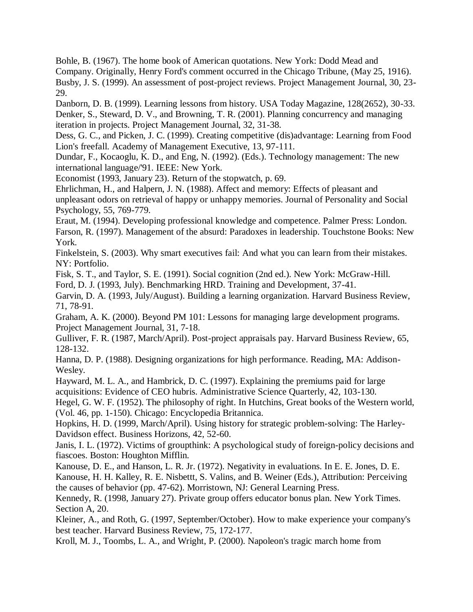Bohle, B. (1967). The home book of American quotations. New York: Dodd Mead and Company. Originally, Henry Ford's comment occurred in the Chicago Tribune, (May 25, 1916). Busby, J. S. (1999). An assessment of post-project reviews. Project Management Journal, 30, 23- 29.

Danborn, D. B. (1999). Learning lessons from history. USA Today Magazine, 128(2652), 30-33. Denker, S., Steward, D. V., and Browning, T. R. (2001). Planning concurrency and managing iteration in projects. Project Management Journal, 32, 31-38.

Dess, G. C., and Picken, J. C. (1999). Creating competitive (dis)advantage: Learning from Food Lion's freefall. Academy of Management Executive, 13, 97-111.

Dundar, F., Kocaoglu, K. D., and Eng, N. (1992). (Eds.). Technology management: The new international language/'91. IEEE: New York.

Economist (1993, January 23). Return of the stopwatch, p. 69.

Ehrlichman, H., and Halpern, J. N. (1988). Affect and memory: Effects of pleasant and unpleasant odors on retrieval of happy or unhappy memories. Journal of Personality and Social Psychology, 55, 769-779.

Eraut, M. (1994). Developing professional knowledge and competence. Palmer Press: London. Farson, R. (1997). Management of the absurd: Paradoxes in leadership. Touchstone Books: New York.

Finkelstein, S. (2003). Why smart executives fail: And what you can learn from their mistakes. NY: Portfolio.

Fisk, S. T., and Taylor, S. E. (1991). Social cognition (2nd ed.). New York: McGraw-Hill.

Ford, D. J. (1993, July). Benchmarking HRD. Training and Development, 37-41.

Garvin, D. A. (1993, July/August). Building a learning organization. Harvard Business Review, 71, 78-91.

Graham, A. K. (2000). Beyond PM 101: Lessons for managing large development programs. Project Management Journal, 31, 7-18.

Gulliver, F. R. (1987, March/April). Post-project appraisals pay. Harvard Business Review, 65, 128-132.

Hanna, D. P. (1988). Designing organizations for high performance. Reading, MA: Addison-Wesley.

Hayward, M. L. A., and Hambrick, D. C. (1997). Explaining the premiums paid for large acquisitions: Evidence of CEO hubris. Administrative Science Quarterly, 42, 103-130.

Hegel, G. W. F. (1952). The philosophy of right. In Hutchins, Great books of the Western world, (Vol. 46, pp. 1-150). Chicago: Encyclopedia Britannica.

Hopkins, H. D. (1999, March/April). Using history for strategic problem-solving: The Harley-Davidson effect. Business Horizons, 42, 52-60.

Janis, I. L. (1972). Victims of groupthink: A psychological study of foreign-policy decisions and fiascoes. Boston: Houghton Mifflin.

Kanouse, D. E., and Hanson, L. R. Jr. (1972). Negativity in evaluations. In E. E. Jones, D. E. Kanouse, H. H. Kalley, R. E. Nisbettt, S. Valins, and B. Weiner (Eds.), Attribution: Perceiving the causes of behavior (pp. 47-62). Morristown, NJ: General Learning Press.

Kennedy, R. (1998, January 27). Private group offers educator bonus plan. New York Times. Section A, 20.

Kleiner, A., and Roth, G. (1997, September/October). How to make experience your company's best teacher. Harvard Business Review, 75, 172-177.

Kroll, M. J., Toombs, L. A., and Wright, P. (2000). Napoleon's tragic march home from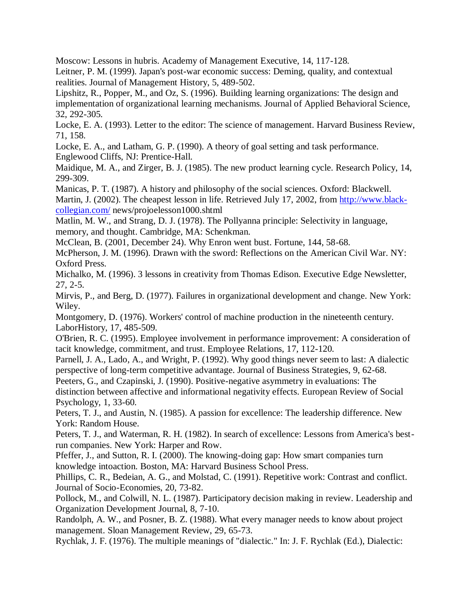Moscow: Lessons in hubris. Academy of Management Executive, 14, 117-128.

Leitner, P. M. (1999). Japan's post-war economic success: Deming, quality, and contextual realities. Journal of Management History, 5, 489-502.

Lipshitz, R., Popper, M., and Oz, S. (1996). Building learning organizations: The design and implementation of organizational learning mechanisms. Journal of Applied Behavioral Science, 32, 292-305.

Locke, E. A. (1993). Letter to the editor: The science of management. Harvard Business Review, 71, 158.

Locke, E. A., and Latham, G. P. (1990). A theory of goal setting and task performance. Englewood Cliffs, NJ: Prentice-Hall.

Maidique, M. A., and Zirger, B. J. (1985). The new product learning cycle. Research Policy, 14, 299-309.

Manicas, P. T. (1987). A history and philosophy of the social sciences. Oxford: Blackwell. Martin, J. (2002). The cheapest lesson in life. Retrieved July 17, 2002, from [http://www.black](http://www.black-collegian.com/)[collegian.com/](http://www.black-collegian.com/) news/projoelesson1000.shtml

Matlin, M. W., and Strang, D. J. (1978). The Pollyanna principle: Selectivity in language, memory, and thought. Cambridge, MA: Schenkman.

McClean, B. (2001, December 24). Why Enron went bust. Fortune, 144, 58-68.

McPherson, J. M. (1996). Drawn with the sword: Reflections on the American Civil War. NY: Oxford Press.

Michalko, M. (1996). 3 lessons in creativity from Thomas Edison. Executive Edge Newsletter, 27, 2-5.

Mirvis, P., and Berg, D. (1977). Failures in organizational development and change. New York: Wiley.

Montgomery, D. (1976). Workers' control of machine production in the nineteenth century. LaborHistory, 17, 485-509.

O'Brien, R. C. (1995). Employee involvement in performance improvement: A consideration of tacit knowledge, commitment, and trust. Employee Relations, 17, 112-120.

Parnell, J. A., Lado, A., and Wright, P. (1992). Why good things never seem to last: A dialectic perspective of long-term competitive advantage. Journal of Business Strategies, 9, 62-68.

Peeters, G., and Czapinski, J. (1990). Positive-negative asymmetry in evaluations: The distinction between affective and informational negativity effects. European Review of Social Psychology, 1, 33-60.

Peters, T. J., and Austin, N. (1985). A passion for excellence: The leadership difference. New York: Random House.

Peters, T. J., and Waterman, R. H. (1982). In search of excellence: Lessons from America's bestrun companies. New York: Harper and Row.

Pfeffer, J., and Sutton, R. I. (2000). The knowing-doing gap: How smart companies turn knowledge intoaction. Boston, MA: Harvard Business School Press.

Phillips, C. R., Bedeian, A. G., and Molstad, C. (1991). Repetitive work: Contrast and conflict. Journal of Socio-Economies, 20, 73-82.

Pollock, M., and Colwill, N. L. (1987). Participatory decision making in review. Leadership and Organization Development Journal, 8, 7-10.

Randolph, A. W., and Posner, B. Z. (1988). What every manager needs to know about project management. Sloan Management Review, 29, 65-73.

Rychlak, J. F. (1976). The multiple meanings of "dialectic." In: J. F. Rychlak (Ed.), Dialectic: